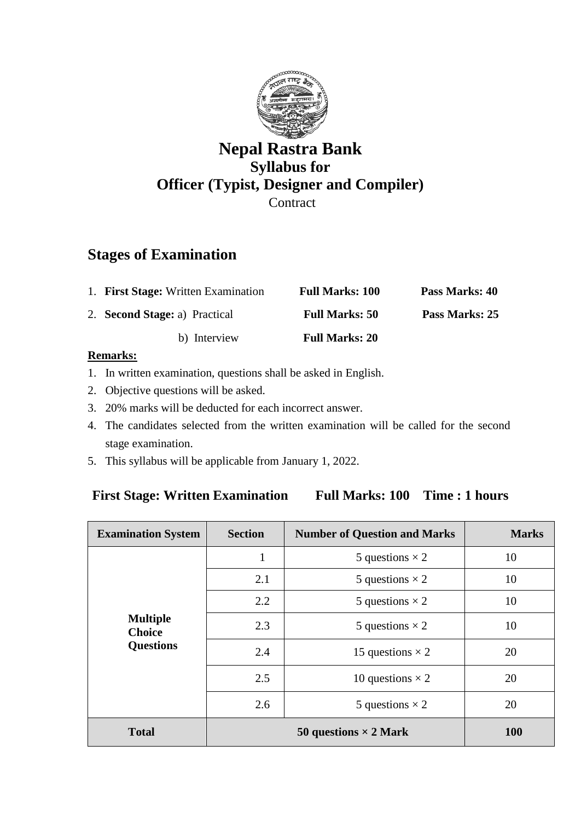

## **Nepal Rastra Bank Syllabus for Officer (Typist, Designer and Compiler) Contract**

# **Stages of Examination**

| 1. First Stage: Written Examination  | <b>Full Marks: 100</b> | Pass Marks: 40 |
|--------------------------------------|------------------------|----------------|
| 2. <b>Second Stage:</b> a) Practical | <b>Full Marks: 50</b>  | Pass Marks: 25 |
| b) Interview                         | <b>Full Marks: 20</b>  |                |

#### **Remarks:**

- 1. In written examination, questions shall be asked in English.
- 2. Objective questions will be asked.
- 3. 20% marks will be deducted for each incorrect answer.
- 4. The candidates selected from the written examination will be called for the second stage examination.
- 5. This syllabus will be applicable from January 1, 2022.

### **First Stage: Written Examination Full Marks: 100 Time : 1 hours**

| <b>Examination System</b>        | <b>Section</b>               | <b>Number of Question and Marks</b> | <b>Marks</b> |
|----------------------------------|------------------------------|-------------------------------------|--------------|
|                                  |                              | 5 questions $\times$ 2              | 10           |
|                                  | 2.1                          | 5 questions $\times$ 2              | 10           |
|                                  | 2.2                          | 5 questions $\times$ 2              | 10           |
| <b>Multiple</b><br><b>Choice</b> | 2.3                          | 5 questions $\times$ 2              | 10           |
| <b>Questions</b>                 | 2.4                          | 15 questions $\times$ 2             | 20           |
|                                  | 2.5                          | 10 questions $\times$ 2             | 20           |
|                                  | 2.6                          | 5 questions $\times$ 2              | 20           |
| <b>Total</b>                     | 50 questions $\times$ 2 Mark |                                     | <b>100</b>   |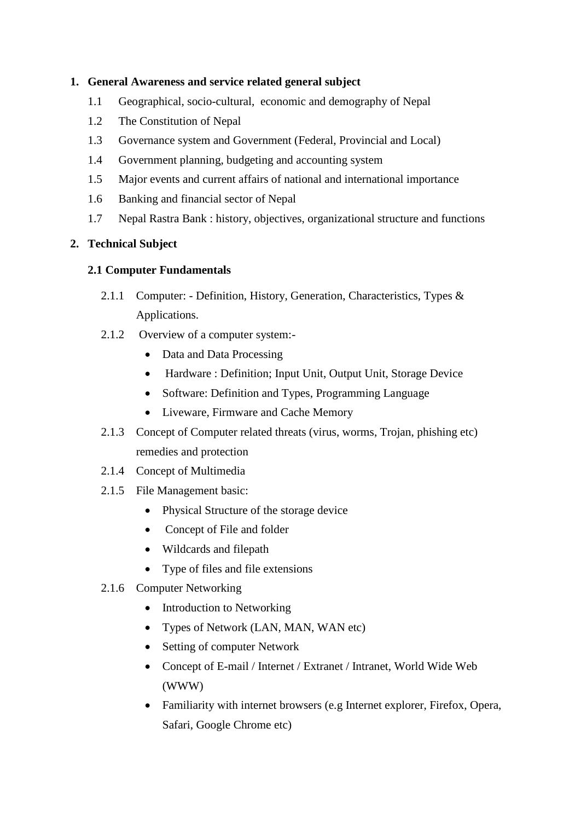#### **1. General Awareness and service related general subject**

- 1.1 Geographical, socio-cultural, economic and demography of Nepal
- 1.2 The Constitution of Nepal
- 1.3 Governance system and Government (Federal, Provincial and Local)
- 1.4 Government planning, budgeting and accounting system
- 1.5 Major events and current affairs of national and international importance
- 1.6 Banking and financial sector of Nepal
- 1.7 Nepal Rastra Bank : history, objectives, organizational structure and functions

#### **2. Technical Subject**

#### **2.1 Computer Fundamentals**

- 2.1.1 Computer: Definition, History, Generation, Characteristics, Types & Applications.
- 2.1.2 Overview of a computer system:-
	- Data and Data Processing
	- Hardware : Definition; Input Unit, Output Unit, Storage Device
	- Software: Definition and Types, Programming Language
	- Liveware, Firmware and Cache Memory
- 2.1.3 Concept of Computer related threats (virus, worms, Trojan, phishing etc) remedies and protection
- 2.1.4 Concept of Multimedia
- 2.1.5 File Management basic:
	- Physical Structure of the storage device
	- Concept of File and folder
	- Wildcards and filepath
	- Type of files and file extensions
- 2.1.6 Computer Networking
	- Introduction to Networking
	- Types of Network (LAN, MAN, WAN etc)
	- Setting of computer Network
	- Concept of E-mail / Internet / Extranet / Intranet, World Wide Web (WWW)
	- Familiarity with internet browsers (e.g Internet explorer, Firefox, Opera, Safari, Google Chrome etc)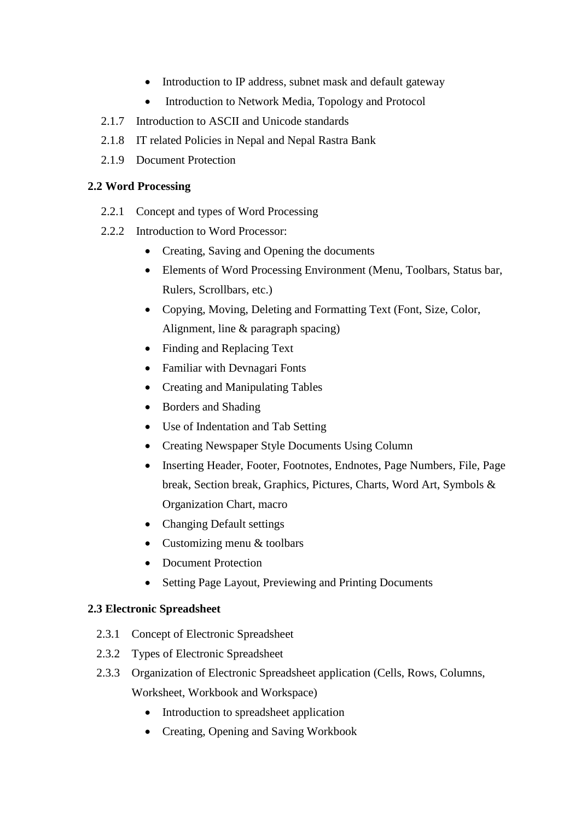- Introduction to IP address, subnet mask and default gateway
- Introduction to Network Media, Topology and Protocol
- 2.1.7 Introduction to ASCII and Unicode standards
- 2.1.8 IT related Policies in Nepal and Nepal Rastra Bank
- 2.1.9 Document Protection

#### **2.2 Word Processing**

- 2.2.1 Concept and types of Word Processing
- 2.2.2 Introduction to Word Processor:
	- Creating, Saving and Opening the documents
	- Elements of Word Processing Environment (Menu, Toolbars, Status bar, Rulers, Scrollbars, etc.)
	- Copying, Moving, Deleting and Formatting Text (Font, Size, Color, Alignment, line & paragraph spacing)
	- Finding and Replacing Text
	- Familiar with Devnagari Fonts
	- Creating and Manipulating Tables
	- Borders and Shading
	- Use of Indentation and Tab Setting
	- Creating Newspaper Style Documents Using Column
	- Inserting Header, Footer, Footnotes, Endnotes, Page Numbers, File, Page break, Section break, Graphics, Pictures, Charts, Word Art, Symbols & Organization Chart, macro
	- Changing Default settings
	- Customizing menu & toolbars
	- Document Protection
	- Setting Page Layout, Previewing and Printing Documents

#### **2.3 Electronic Spreadsheet**

- 2.3.1 Concept of Electronic Spreadsheet
- 2.3.2 Types of Electronic Spreadsheet
- 2.3.3 Organization of Electronic Spreadsheet application (Cells, Rows, Columns, Worksheet, Workbook and Workspace)
	- Introduction to spreadsheet application
	- Creating, Opening and Saving Workbook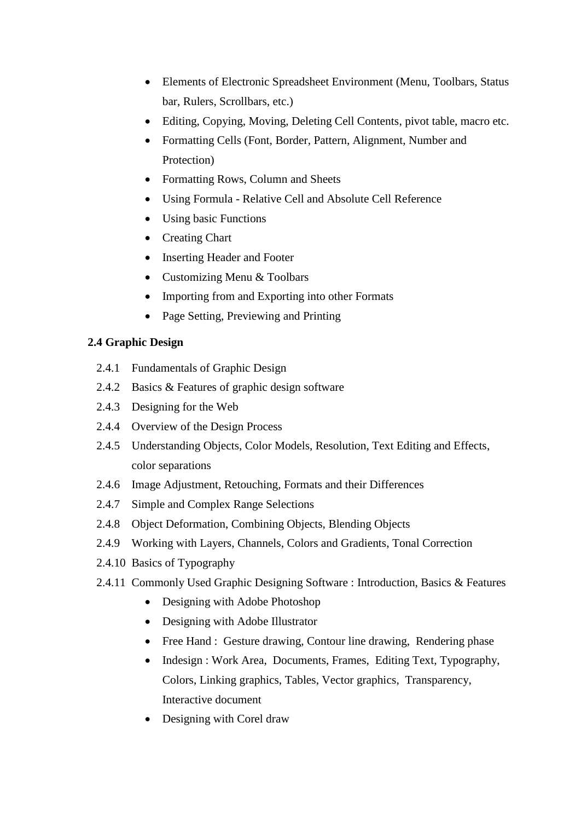- Elements of Electronic Spreadsheet Environment (Menu, Toolbars, Status bar, Rulers, Scrollbars, etc.)
- Editing, Copying, Moving, Deleting Cell Contents, pivot table, macro etc.
- Formatting Cells (Font, Border, Pattern, Alignment, Number and Protection)
- Formatting Rows, Column and Sheets
- Using Formula Relative Cell and Absolute Cell Reference
- Using basic Functions
- Creating Chart
- Inserting Header and Footer
- Customizing Menu & Toolbars
- Importing from and Exporting into other Formats
- Page Setting, Previewing and Printing

#### **2.4 Graphic Design**

- 2.4.1 Fundamentals of Graphic Design
- 2.4.2 Basics & Features of graphic design software
- 2.4.3 Designing for the Web
- 2.4.4 Overview of the Design Process
- 2.4.5 Understanding Objects, Color Models, Resolution, Text Editing and Effects, color separations
- 2.4.6 Image Adjustment, Retouching, Formats and their Differences
- 2.4.7 Simple and Complex Range Selections
- 2.4.8 Object Deformation, Combining Objects, Blending Objects
- 2.4.9 Working with Layers, Channels, Colors and Gradients, Tonal Correction
- 2.4.10 Basics of Typography
- 2.4.11 Commonly Used Graphic Designing Software : Introduction, Basics & Features
	- Designing with Adobe Photoshop
	- Designing with Adobe Illustrator
	- Free Hand : Gesture drawing, Contour line drawing, Rendering phase
	- Indesign : Work Area, Documents, Frames, Editing Text, Typography, Colors, Linking graphics, Tables, Vector graphics, Transparency, Interactive document
	- Designing with Corel draw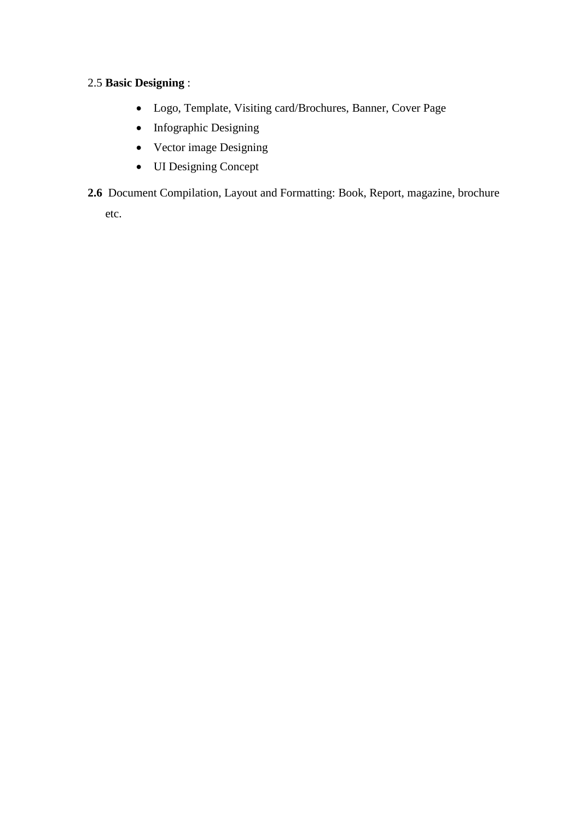### 2.5 **Basic Designing** :

- Logo, Template, Visiting card/Brochures, Banner, Cover Page
- Infographic Designing
- Vector image Designing
- UI Designing Concept
- **2.6** Document Compilation, Layout and Formatting: Book, Report, magazine, brochure

etc.